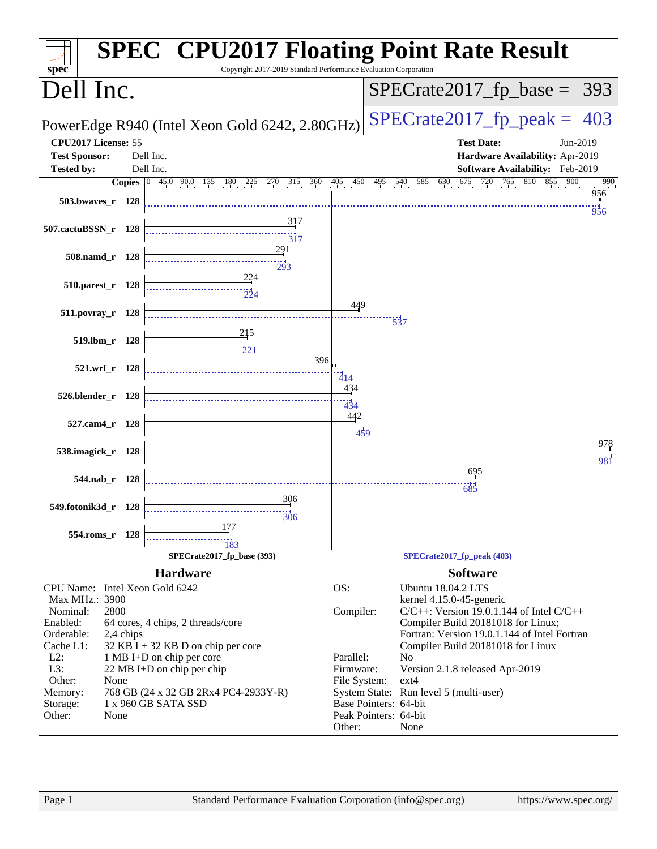| Copyright 2017-2019 Standard Performance Evaluation Corporation<br>spec <sup>®</sup>                                                                                                                                                                                                                                                                                                                      | <b>SPEC<sup>®</sup> CPU2017 Floating Point Rate Result</b>                                                                                                                                                                                                                                                                                                                                                                                                         |
|-----------------------------------------------------------------------------------------------------------------------------------------------------------------------------------------------------------------------------------------------------------------------------------------------------------------------------------------------------------------------------------------------------------|--------------------------------------------------------------------------------------------------------------------------------------------------------------------------------------------------------------------------------------------------------------------------------------------------------------------------------------------------------------------------------------------------------------------------------------------------------------------|
| Dell Inc.                                                                                                                                                                                                                                                                                                                                                                                                 | $SPECrate2017_fp\_base = 393$                                                                                                                                                                                                                                                                                                                                                                                                                                      |
| PowerEdge R940 (Intel Xeon Gold 6242, 2.80GHz)                                                                                                                                                                                                                                                                                                                                                            | $SPECTate2017$ _fp_peak = 403                                                                                                                                                                                                                                                                                                                                                                                                                                      |
| CPU2017 License: 55<br><b>Test Sponsor:</b><br>Dell Inc.<br>Dell Inc.<br><b>Tested by:</b><br><b>Copies</b> $\begin{bmatrix} 0 & 45.0 & 90.0 & 135 & 180 & 225 & 270 & 315 & 360 \end{bmatrix}$                                                                                                                                                                                                           | <b>Test Date:</b><br>Jun-2019<br>Hardware Availability: Apr-2019<br>Software Availability: Feb-2019<br>855<br>$405$ $450$ $495$ $540$<br>630 675 720 765 810<br>900<br>990<br>585                                                                                                                                                                                                                                                                                  |
| 503.bwaves_r 128<br>317                                                                                                                                                                                                                                                                                                                                                                                   | 956<br>956                                                                                                                                                                                                                                                                                                                                                                                                                                                         |
| 507.cactuBSSN_r 128<br>$\overline{317}$<br>291                                                                                                                                                                                                                                                                                                                                                            |                                                                                                                                                                                                                                                                                                                                                                                                                                                                    |
| 508.namd_r 128<br>293<br><u>224</u>                                                                                                                                                                                                                                                                                                                                                                       |                                                                                                                                                                                                                                                                                                                                                                                                                                                                    |
| 510.parest_r 128                                                                                                                                                                                                                                                                                                                                                                                          | 449                                                                                                                                                                                                                                                                                                                                                                                                                                                                |
| 511.povray_r 128<br>215                                                                                                                                                                                                                                                                                                                                                                                   | 537                                                                                                                                                                                                                                                                                                                                                                                                                                                                |
| 519.lbm_r 128<br>$\frac{1}{221}$<br>396                                                                                                                                                                                                                                                                                                                                                                   |                                                                                                                                                                                                                                                                                                                                                                                                                                                                    |
| 521.wrf_r 128                                                                                                                                                                                                                                                                                                                                                                                             | 414<br>434                                                                                                                                                                                                                                                                                                                                                                                                                                                         |
| 526.blender_r 128                                                                                                                                                                                                                                                                                                                                                                                         | 434<br>442                                                                                                                                                                                                                                                                                                                                                                                                                                                         |
| 527.cam4_r 128<br>538.imagick_r 128                                                                                                                                                                                                                                                                                                                                                                       | 459<br>978                                                                                                                                                                                                                                                                                                                                                                                                                                                         |
| 544.nab_r 128                                                                                                                                                                                                                                                                                                                                                                                             | 981<br>695                                                                                                                                                                                                                                                                                                                                                                                                                                                         |
| 306<br>549.fotonik3d_r 128                                                                                                                                                                                                                                                                                                                                                                                | 685                                                                                                                                                                                                                                                                                                                                                                                                                                                                |
| 306<br>177<br>554.roms r 128<br>183<br>SPECrate2017_fp_base (393)                                                                                                                                                                                                                                                                                                                                         | SPECrate2017_fp_peak (403)                                                                                                                                                                                                                                                                                                                                                                                                                                         |
| <b>Hardware</b>                                                                                                                                                                                                                                                                                                                                                                                           | <b>Software</b>                                                                                                                                                                                                                                                                                                                                                                                                                                                    |
| CPU Name: Intel Xeon Gold 6242<br>Max MHz.: 3900<br>Nominal:<br>2800<br>Enabled:<br>64 cores, 4 chips, 2 threads/core<br>Orderable:<br>2,4 chips<br>Cache L1:<br>32 KB I + 32 KB D on chip per core<br>$L2$ :<br>1 MB I+D on chip per core<br>L3:<br>22 MB I+D on chip per chip<br>Other:<br>None<br>768 GB (24 x 32 GB 2Rx4 PC4-2933Y-R)<br>Memory:<br>1 x 960 GB SATA SSD<br>Storage:<br>Other:<br>None | OS:<br><b>Ubuntu 18.04.2 LTS</b><br>kernel 4.15.0-45-generic<br>$C/C++$ : Version 19.0.1.144 of Intel $C/C++$<br>Compiler:<br>Compiler Build 20181018 for Linux;<br>Fortran: Version 19.0.1.144 of Intel Fortran<br>Compiler Build 20181018 for Linux<br>Parallel:<br>No<br>Firmware:<br>Version 2.1.8 released Apr-2019<br>File System:<br>$ext{4}$<br>System State: Run level 5 (multi-user)<br>Base Pointers: 64-bit<br>Peak Pointers: 64-bit<br>Other:<br>None |
| Standard Performance Evaluation Corporation (info@spec.org)<br>Page 1                                                                                                                                                                                                                                                                                                                                     | https://www.spec.org/                                                                                                                                                                                                                                                                                                                                                                                                                                              |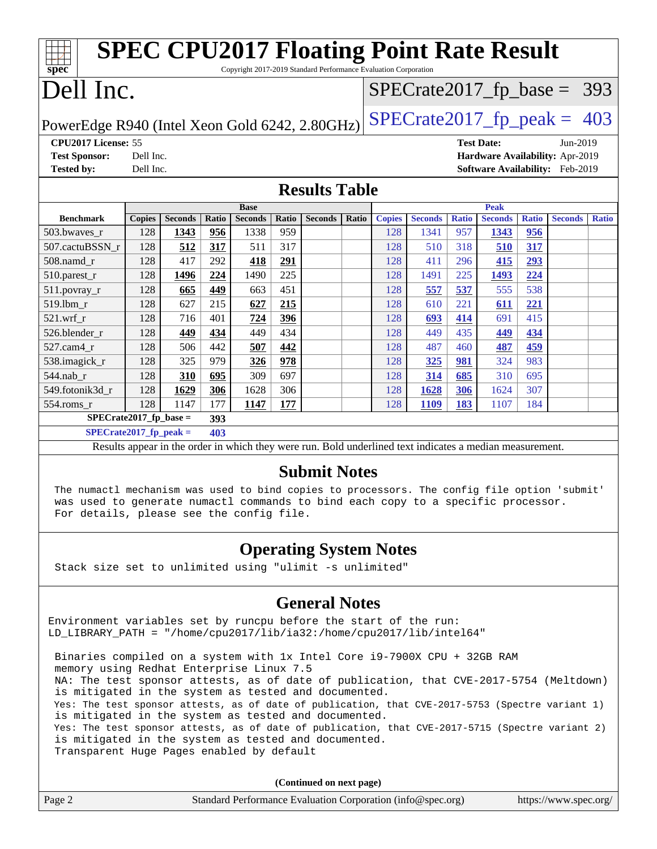| <b>SPEC CPU2017 Floating Point Rate Result</b>                                                           |               |                |       |                |              |                |       |               |                |              |                                        |              |                |              |
|----------------------------------------------------------------------------------------------------------|---------------|----------------|-------|----------------|--------------|----------------|-------|---------------|----------------|--------------|----------------------------------------|--------------|----------------|--------------|
| Copyright 2017-2019 Standard Performance Evaluation Corporation<br>$spec^*$                              |               |                |       |                |              |                |       |               |                |              |                                        |              |                |              |
|                                                                                                          | Dell Inc.     |                |       |                |              |                |       |               |                |              | $SPECTate2017_fp\_base = 393$          |              |                |              |
| $SPECTate2017$ _fp_peak = 403<br>PowerEdge R940 (Intel Xeon Gold 6242, 2.80GHz)                          |               |                |       |                |              |                |       |               |                |              |                                        |              |                |              |
| CPU2017 License: 55<br>Jun-2019<br><b>Test Date:</b>                                                     |               |                |       |                |              |                |       |               |                |              |                                        |              |                |              |
| <b>Test Sponsor:</b>                                                                                     | Dell Inc.     |                |       |                |              |                |       |               |                |              | Hardware Availability: Apr-2019        |              |                |              |
| <b>Tested by:</b>                                                                                        | Dell Inc.     |                |       |                |              |                |       |               |                |              | <b>Software Availability:</b> Feb-2019 |              |                |              |
| <b>Results Table</b>                                                                                     |               |                |       |                |              |                |       |               |                |              |                                        |              |                |              |
|                                                                                                          |               |                |       | <b>Base</b>    |              |                |       |               |                |              | <b>Peak</b>                            |              |                |              |
| <b>Benchmark</b>                                                                                         | <b>Copies</b> | <b>Seconds</b> | Ratio | <b>Seconds</b> | <b>Ratio</b> | <b>Seconds</b> | Ratio | <b>Copies</b> | <b>Seconds</b> | <b>Ratio</b> | <b>Seconds</b>                         | <b>Ratio</b> | <b>Seconds</b> | <b>Ratio</b> |
| 503.bwaves_r                                                                                             | 128           | 1343           | 956   | 1338           | 959          |                |       | 128           | 1341           | 957          | 1343                                   | 956          |                |              |
| 507.cactuBSSN_r                                                                                          | 128           | 512            | 317   | 511            | 317          |                |       | 128           | 510            | 318          | 510                                    | 317          |                |              |
| 508.namd_r                                                                                               | 128           | 417            | 292   | 418            | 291          |                |       | 128           | 411            | 296          | 415                                    | 293          |                |              |
| 510.parest_r                                                                                             | 128           | 1496           | 224   | 1490           | 225          |                |       | 128           | 1491           | 225          | 1493                                   | 224          |                |              |
| 511.povray_r                                                                                             | 128           | 665            | 449   | 663            | 451          |                |       | 128           | 557            | 537          | 555                                    | 538          |                |              |
| 519.lbm r                                                                                                | 128           | 627            | 215   | 627            | 215          |                |       | 128           | 610            | 221          | 611                                    | 221          |                |              |
| 521.wrf                                                                                                  | 128           | 716            | 401   | 724            | 396          |                |       | 128           | 693            | 414          | 691                                    | 415          |                |              |
| 526.blender_r                                                                                            | 128           | 449            | 434   | 449            | 434          |                |       | 128           | 449            | 435          | 449                                    | 434          |                |              |
| 527.cam4_r                                                                                               | 128           | 506            | 442   | 507            | 442          |                |       | 128           | 487            | 460          | 487                                    | 459          |                |              |
| 538.imagick_r                                                                                            | 128           | 325            | 979   | 326            | 978          |                |       | 128           | 325            | 981          | 324                                    | 983          |                |              |
| 544.nab_r                                                                                                | 128           | 310            | 695   | 309            | 697          |                |       | 128           | 314            | 685          | 310                                    | 695          |                |              |
| 549.fotonik3d_r                                                                                          | 128           | 1629           | 306   | 1628           | 306          |                |       | 128           | 1628           | 306          | 1624                                   | 307          |                |              |
| 554.roms_r                                                                                               | 128           | 1147           | 177   | 1147           | 177          |                |       | 128           | 1109           | 183          | 1107                                   | 184          |                |              |
| $SPECrate2017_fp\_base =$                                                                                |               |                | 393   |                |              |                |       |               |                |              |                                        |              |                |              |
| $SPECrate2017_fp_peak =$                                                                                 |               |                | 403   |                |              |                |       |               |                |              |                                        |              |                |              |
| Results appear in the order in which they were run. Bold underlined text indicates a median measurement. |               |                |       |                |              |                |       |               |                |              |                                        |              |                |              |
| <b>Submit Notes</b>                                                                                      |               |                |       |                |              |                |       |               |                |              |                                        |              |                |              |

 The numactl mechanism was used to bind copies to processors. The config file option 'submit' was used to generate numactl commands to bind each copy to a specific processor. For details, please see the config file.

### **[Operating System Notes](http://www.spec.org/auto/cpu2017/Docs/result-fields.html#OperatingSystemNotes)**

Stack size set to unlimited using "ulimit -s unlimited"

### **[General Notes](http://www.spec.org/auto/cpu2017/Docs/result-fields.html#GeneralNotes)**

Environment variables set by runcpu before the start of the run: LD\_LIBRARY\_PATH = "/home/cpu2017/lib/ia32:/home/cpu2017/lib/intel64"

 Binaries compiled on a system with 1x Intel Core i9-7900X CPU + 32GB RAM memory using Redhat Enterprise Linux 7.5 NA: The test sponsor attests, as of date of publication, that CVE-2017-5754 (Meltdown) is mitigated in the system as tested and documented. Yes: The test sponsor attests, as of date of publication, that CVE-2017-5753 (Spectre variant 1) is mitigated in the system as tested and documented. Yes: The test sponsor attests, as of date of publication, that CVE-2017-5715 (Spectre variant 2) is mitigated in the system as tested and documented. Transparent Huge Pages enabled by default

**(Continued on next page)**

| Page 2 | Standard Performance Evaluation Corporation (info@spec.org) | https://www.spec.org/ |
|--------|-------------------------------------------------------------|-----------------------|
|        |                                                             |                       |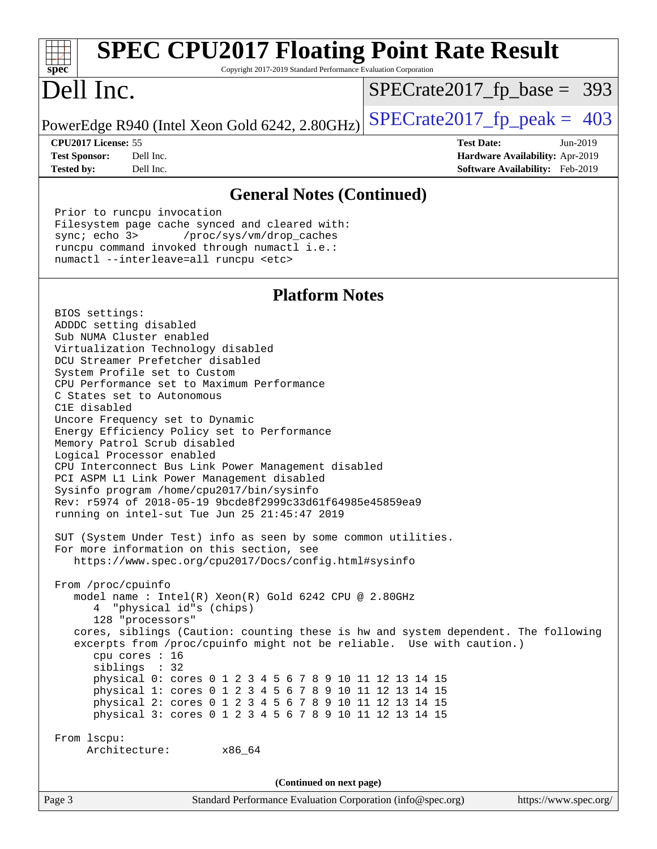| <b>SPEC CPU2017 Floating Point Rate Result</b><br>Copyright 2017-2019 Standard Performance Evaluation Corporation<br>spec <sup>®</sup>                                                                                                                                                                                                                                                                                                                                                                                                                                                                                                                                                                                                                                                                                                                                                                                                                                                                                                                                                                                                                                                                                                                                                                                                                                                                                                                                                |                                                                    |
|---------------------------------------------------------------------------------------------------------------------------------------------------------------------------------------------------------------------------------------------------------------------------------------------------------------------------------------------------------------------------------------------------------------------------------------------------------------------------------------------------------------------------------------------------------------------------------------------------------------------------------------------------------------------------------------------------------------------------------------------------------------------------------------------------------------------------------------------------------------------------------------------------------------------------------------------------------------------------------------------------------------------------------------------------------------------------------------------------------------------------------------------------------------------------------------------------------------------------------------------------------------------------------------------------------------------------------------------------------------------------------------------------------------------------------------------------------------------------------------|--------------------------------------------------------------------|
| Dell Inc.                                                                                                                                                                                                                                                                                                                                                                                                                                                                                                                                                                                                                                                                                                                                                                                                                                                                                                                                                                                                                                                                                                                                                                                                                                                                                                                                                                                                                                                                             | $SPECrate2017_fp\_base = 393$                                      |
| PowerEdge R940 (Intel Xeon Gold 6242, 2.80GHz)                                                                                                                                                                                                                                                                                                                                                                                                                                                                                                                                                                                                                                                                                                                                                                                                                                                                                                                                                                                                                                                                                                                                                                                                                                                                                                                                                                                                                                        | $SPECrate2017_fp\_peak = 403$                                      |
| CPU2017 License: 55                                                                                                                                                                                                                                                                                                                                                                                                                                                                                                                                                                                                                                                                                                                                                                                                                                                                                                                                                                                                                                                                                                                                                                                                                                                                                                                                                                                                                                                                   | <b>Test Date:</b><br>Jun-2019                                      |
| <b>Test Sponsor:</b><br>Dell Inc.<br>Dell Inc.<br><b>Tested by:</b>                                                                                                                                                                                                                                                                                                                                                                                                                                                                                                                                                                                                                                                                                                                                                                                                                                                                                                                                                                                                                                                                                                                                                                                                                                                                                                                                                                                                                   | Hardware Availability: Apr-2019<br>Software Availability: Feb-2019 |
| <b>General Notes (Continued)</b>                                                                                                                                                                                                                                                                                                                                                                                                                                                                                                                                                                                                                                                                                                                                                                                                                                                                                                                                                                                                                                                                                                                                                                                                                                                                                                                                                                                                                                                      |                                                                    |
| Prior to runcpu invocation<br>Filesystem page cache synced and cleared with:<br>sync $i$ echo $3$<br>/proc/sys/vm/drop_caches<br>runcpu command invoked through numactl i.e.:<br>numactl --interleave=all runcpu <etc></etc>                                                                                                                                                                                                                                                                                                                                                                                                                                                                                                                                                                                                                                                                                                                                                                                                                                                                                                                                                                                                                                                                                                                                                                                                                                                          |                                                                    |
| <b>Platform Notes</b>                                                                                                                                                                                                                                                                                                                                                                                                                                                                                                                                                                                                                                                                                                                                                                                                                                                                                                                                                                                                                                                                                                                                                                                                                                                                                                                                                                                                                                                                 |                                                                    |
| BIOS settings:<br>ADDDC setting disabled<br>Sub NUMA Cluster enabled<br>Virtualization Technology disabled<br>DCU Streamer Prefetcher disabled<br>System Profile set to Custom<br>CPU Performance set to Maximum Performance<br>C States set to Autonomous<br>C1E disabled<br>Uncore Frequency set to Dynamic<br>Energy Efficiency Policy set to Performance<br>Memory Patrol Scrub disabled<br>Logical Processor enabled<br>CPU Interconnect Bus Link Power Management disabled<br>PCI ASPM L1 Link Power Management disabled<br>Sysinfo program /home/cpu2017/bin/sysinfo<br>Rev: r5974 of 2018-05-19 9bcde8f2999c33d61f64985e45859ea9<br>running on intel-sut Tue Jun 25 21:45:47 2019<br>SUT (System Under Test) info as seen by some common utilities.<br>For more information on this section, see<br>https://www.spec.org/cpu2017/Docs/config.html#sysinfo<br>From /proc/cpuinfo<br>model name : Intel(R) Xeon(R) Gold 6242 CPU @ 2.80GHz<br>4 "physical id"s (chips)<br>128 "processors"<br>cores, siblings (Caution: counting these is hw and system dependent. The following<br>excerpts from /proc/cpuinfo might not be reliable. Use with caution.)<br>cpu cores : 16<br>siblings : 32<br>physical 0: cores 0 1 2 3 4 5 6 7 8 9 10 11 12 13 14 15<br>physical 1: cores 0 1 2 3 4 5 6 7 8 9 10 11 12 13 14 15<br>physical 2: cores 0 1 2 3 4 5 6 7 8 9 10 11 12 13 14 15<br>physical 3: cores 0 1 2 3 4 5 6 7 8 9 10 11 12 13 14 15<br>From 1scpu:<br>Architecture: x86_64 |                                                                    |
| (Continued on next page)                                                                                                                                                                                                                                                                                                                                                                                                                                                                                                                                                                                                                                                                                                                                                                                                                                                                                                                                                                                                                                                                                                                                                                                                                                                                                                                                                                                                                                                              |                                                                    |
| Page 3<br>Standard Performance Evaluation Corporation (info@spec.org)                                                                                                                                                                                                                                                                                                                                                                                                                                                                                                                                                                                                                                                                                                                                                                                                                                                                                                                                                                                                                                                                                                                                                                                                                                                                                                                                                                                                                 | https://www.spec.org/                                              |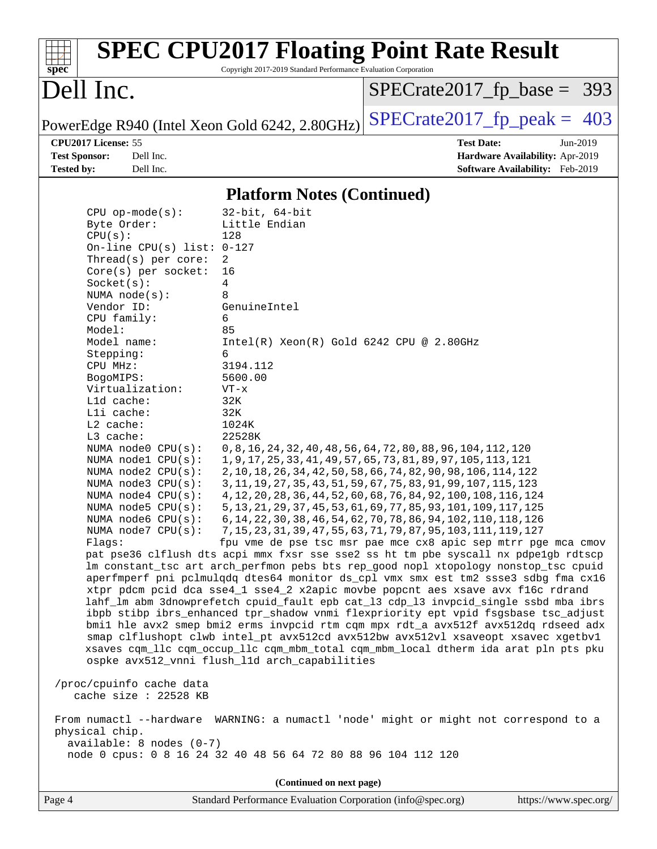| $spec^*$                                          | Copyright 2017-2019 Standard Performance Evaluation Corporation | <b>SPEC CPU2017 Floating Point Rate Result</b>                                                                                                                            |
|---------------------------------------------------|-----------------------------------------------------------------|---------------------------------------------------------------------------------------------------------------------------------------------------------------------------|
| Dell Inc.                                         |                                                                 | $SPECrate2017_fp\_base = 393$                                                                                                                                             |
| PowerEdge R940 (Intel Xeon Gold 6242, 2.80GHz)    |                                                                 | $SPECTate2017$ _fp_peak = 403                                                                                                                                             |
| CPU2017 License: 55                               |                                                                 | <b>Test Date:</b><br>Jun-2019                                                                                                                                             |
| <b>Test Sponsor:</b><br>Dell Inc.                 |                                                                 | Hardware Availability: Apr-2019                                                                                                                                           |
| <b>Tested by:</b><br>Dell Inc.                    |                                                                 | Software Availability: Feb-2019                                                                                                                                           |
|                                                   | <b>Platform Notes (Continued)</b>                               |                                                                                                                                                                           |
| $CPU$ op-mode( $s$ ):<br>Byte Order:              | $32$ -bit, $64$ -bit<br>Little Endian                           |                                                                                                                                                                           |
| CPU(s):                                           | 128                                                             |                                                                                                                                                                           |
| On-line CPU(s) list: $0-127$                      |                                                                 |                                                                                                                                                                           |
| Thread( $s$ ) per core:                           | 2                                                               |                                                                                                                                                                           |
| Core(s) per socket:                               | 16                                                              |                                                                                                                                                                           |
| Socket(s):                                        | 4<br>8                                                          |                                                                                                                                                                           |
| NUMA node(s):<br>Vendor ID:                       | GenuineIntel                                                    |                                                                                                                                                                           |
| CPU family:                                       | 6                                                               |                                                                                                                                                                           |
| Model:                                            | 85                                                              |                                                                                                                                                                           |
| Model name:                                       | $Intel(R)$ Xeon $(R)$ Gold 6242 CPU @ 2.80GHz                   |                                                                                                                                                                           |
| Stepping:                                         | 6                                                               |                                                                                                                                                                           |
| CPU MHz:<br>BogoMIPS:                             | 3194.112<br>5600.00                                             |                                                                                                                                                                           |
| Virtualization:                                   | $VT - x$                                                        |                                                                                                                                                                           |
| L1d cache:                                        | 32K                                                             |                                                                                                                                                                           |
| Lli cache:                                        | 32K                                                             |                                                                                                                                                                           |
| $L2$ cache:                                       | 1024K                                                           |                                                                                                                                                                           |
| L3 cache:<br>NUMA $node0$ $CPU(s)$ :              | 22528K                                                          | 0, 8, 16, 24, 32, 40, 48, 56, 64, 72, 80, 88, 96, 104, 112, 120                                                                                                           |
| NUMA $node1$ CPU $(s)$ :                          |                                                                 | 1, 9, 17, 25, 33, 41, 49, 57, 65, 73, 81, 89, 97, 105, 113, 121                                                                                                           |
| NUMA $node2$ $CPU(s)$ :                           |                                                                 | 2, 10, 18, 26, 34, 42, 50, 58, 66, 74, 82, 90, 98, 106, 114, 122                                                                                                          |
| NUMA node3 CPU(s):                                |                                                                 | 3, 11, 19, 27, 35, 43, 51, 59, 67, 75, 83, 91, 99, 107, 115, 123                                                                                                          |
| NUMA $node4$ $CPU(s):$                            |                                                                 | 4, 12, 20, 28, 36, 44, 52, 60, 68, 76, 84, 92, 100, 108, 116, 124                                                                                                         |
| NUMA $node5$ $CPU(s):$                            |                                                                 | 5, 13, 21, 29, 37, 45, 53, 61, 69, 77, 85, 93, 101, 109, 117, 125<br>NUMA node6 CPU(s): 6, 14, 22, 30, 38, 46, 54, 62, 70, 78, 86, 94, 102, 110, 118, 126                 |
| NUMA $node7$ CPU $(s)$ :                          |                                                                 | 7, 15, 23, 31, 39, 47, 55, 63, 71, 79, 87, 95, 103, 111, 119, 127                                                                                                         |
| Flaqs:                                            |                                                                 | fpu vme de pse tsc msr pae mce cx8 apic sep mtrr pge mca cmov                                                                                                             |
|                                                   |                                                                 | pat pse36 clflush dts acpi mmx fxsr sse sse2 ss ht tm pbe syscall nx pdpe1gb rdtscp                                                                                       |
|                                                   |                                                                 | lm constant_tsc art arch_perfmon pebs bts rep_good nopl xtopology nonstop_tsc cpuid<br>aperfmperf pni pclmulqdq dtes64 monitor ds_cpl vmx smx est tm2 ssse3 sdbg fma cx16 |
|                                                   |                                                                 | xtpr pdcm pcid dca sse4_1 sse4_2 x2apic movbe popcnt aes xsave avx f16c rdrand                                                                                            |
|                                                   |                                                                 | lahf_lm abm 3dnowprefetch cpuid_fault epb cat_13 cdp_13 invpcid_single ssbd mba ibrs                                                                                      |
|                                                   |                                                                 | ibpb stibp ibrs_enhanced tpr_shadow vnmi flexpriority ept vpid fsgsbase tsc_adjust                                                                                        |
|                                                   |                                                                 | bmil hle avx2 smep bmi2 erms invpcid rtm cqm mpx rdt_a avx512f avx512dq rdseed adx                                                                                        |
|                                                   |                                                                 | smap clflushopt clwb intel_pt avx512cd avx512bw avx512vl xsaveopt xsavec xgetbvl<br>xsaves cqm_llc cqm_occup_llc cqm_mbm_total cqm_mbm_local dtherm ida arat pln pts pku  |
|                                                   | ospke avx512_vnni flush_l1d arch_capabilities                   |                                                                                                                                                                           |
| /proc/cpuinfo cache data<br>cache size : 22528 KB |                                                                 |                                                                                                                                                                           |
|                                                   |                                                                 | From numactl --hardware WARNING: a numactl 'node' might or might not correspond to a                                                                                      |
| physical chip.                                    |                                                                 |                                                                                                                                                                           |
| $available: 8 nodes (0-7)$                        |                                                                 |                                                                                                                                                                           |
|                                                   | node 0 cpus: 0 8 16 24 32 40 48 56 64 72 80 88 96 104 112 120   |                                                                                                                                                                           |
|                                                   | (Continued on next page)                                        |                                                                                                                                                                           |
| $\mathbf{D}_{\alpha\alpha\alpha}$ $\Lambda$       | Standard Performance Evaluation Corneration (info@spec.org)     | http://www.600.000                                                                                                                                                        |

Page 4 Standard Performance Evaluation Corporation [\(info@spec.org\)](mailto:info@spec.org) <https://www.spec.org/>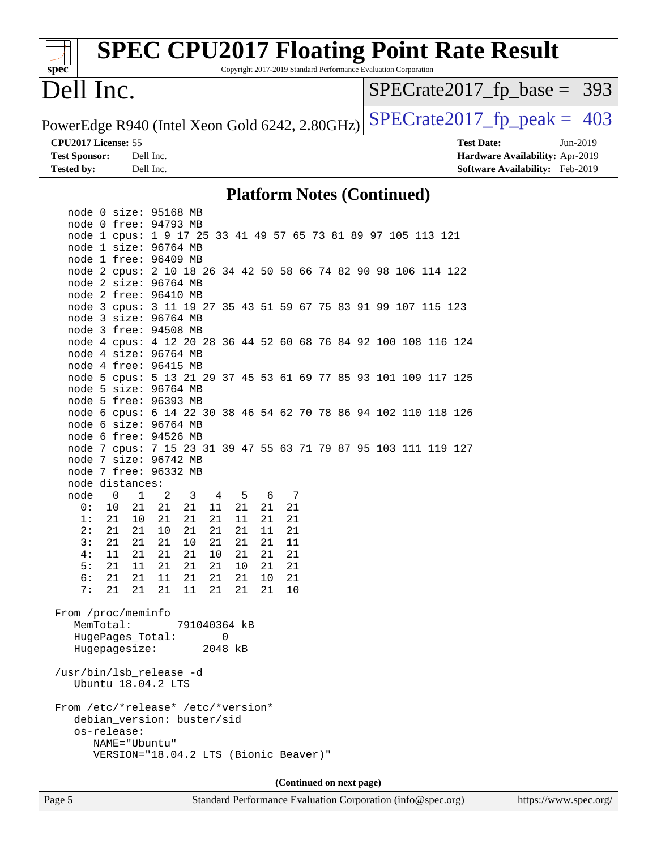| spec <sup>®</sup>                                                                      |                                                                                                                                                                                  | <b>SPEC CPU2017 Floating Point Rate Result</b><br>Copyright 2017-2019 Standard Performance Evaluation Corporation |
|----------------------------------------------------------------------------------------|----------------------------------------------------------------------------------------------------------------------------------------------------------------------------------|-------------------------------------------------------------------------------------------------------------------|
| Dell Inc.                                                                              |                                                                                                                                                                                  | $SPECrate2017_fp\_base = 393$                                                                                     |
|                                                                                        | PowerEdge R940 (Intel Xeon Gold 6242, 2.80GHz)                                                                                                                                   | $SPECrate2017_fp\_peak = 403$                                                                                     |
| CPU2017 License: 55<br><b>Test Sponsor:</b><br><b>Tested by:</b>                       | Dell Inc.<br>Dell Inc.                                                                                                                                                           | <b>Test Date:</b><br>Jun-2019<br>Hardware Availability: Apr-2019<br><b>Software Availability:</b> Feb-2019        |
|                                                                                        |                                                                                                                                                                                  | <b>Platform Notes (Continued)</b>                                                                                 |
| node 0 size: 95168 MB<br>node 0 free: 94793 MB<br>node 1 size: 96764 MB                | node 1 cpus: 1 9 17 25 33 41 49 57 65 73 81 89 97 105 113 121                                                                                                                    |                                                                                                                   |
| node 1 free: 96409 MB<br>node 2 size: 96764 MB<br>node 2 free: 96410 MB                | node 2 cpus: 2 10 18 26 34 42 50 58 66 74 82 90 98 106 114 122                                                                                                                   |                                                                                                                   |
| node 3 size: 96764 MB<br>node 3 free: 94508 MB<br>node 4 size: 96764 MB                | node 3 cpus: 3 11 19 27 35 43 51 59 67 75 83 91 99 107 115 123<br>node 4 cpus: 4 12 20 28 36 44 52 60 68 76 84 92 100 108 116 124                                                |                                                                                                                   |
| node 4 free: 96415 MB<br>node 5 size: 96764 MB<br>node 5 free: 96393 MB                | node 5 cpus: 5 13 21 29 37 45 53 61 69 77 85 93 101 109 117 125                                                                                                                  |                                                                                                                   |
| node 6 size: 96764 MB<br>node 6 free: 94526 MB                                         | node 6 cpus: 6 14 22 30 38 46 54 62 70 78 86 94 102 110 118 126                                                                                                                  |                                                                                                                   |
| node 7 size: 96742 MB<br>node 7 free: 96332 MB<br>node distances:                      | node 7 cpus: 7 15 23 31 39 47 55 63 71 79 87 95 103 111 119 127                                                                                                                  |                                                                                                                   |
| node<br>$\Omega$<br>$\mathbf{1}$<br>0:<br>10<br>21<br>1:<br>21<br>10<br>2:<br>21<br>21 | $\overline{2}$<br>3<br>5<br>7<br>4<br>6<br>21<br>21<br>21<br>21<br>21<br>11<br>21<br>11<br>21<br>21<br>21<br>21<br>21<br>10<br>21<br>21<br>11<br>21                              |                                                                                                                   |
| 21<br>21<br>3:<br>4:<br>11<br>21<br>21<br>5:<br>11<br>21<br>6:<br>21<br>7:<br>21<br>21 | 21<br>10<br>21<br>21<br>21<br>11<br>21<br>21<br>10<br>21<br>21<br>21<br>21<br>10<br>21<br>21<br>21<br>21<br>21<br>21<br>11<br>21<br>10<br>21<br>21<br>11<br>21<br>21<br>21<br>10 |                                                                                                                   |

 From /proc/meminfo MemTotal: 791040364 kB HugePages\_Total: 0<br>Hugepagesize: 2048 kB Hugepagesize:

 /usr/bin/lsb\_release -d Ubuntu 18.04.2 LTS

 From /etc/\*release\* /etc/\*version\* debian\_version: buster/sid os-release: NAME="Ubuntu" VERSION="18.04.2 LTS (Bionic Beaver)"

**(Continued on next page)**

Page 5 Standard Performance Evaluation Corporation [\(info@spec.org\)](mailto:info@spec.org) <https://www.spec.org/>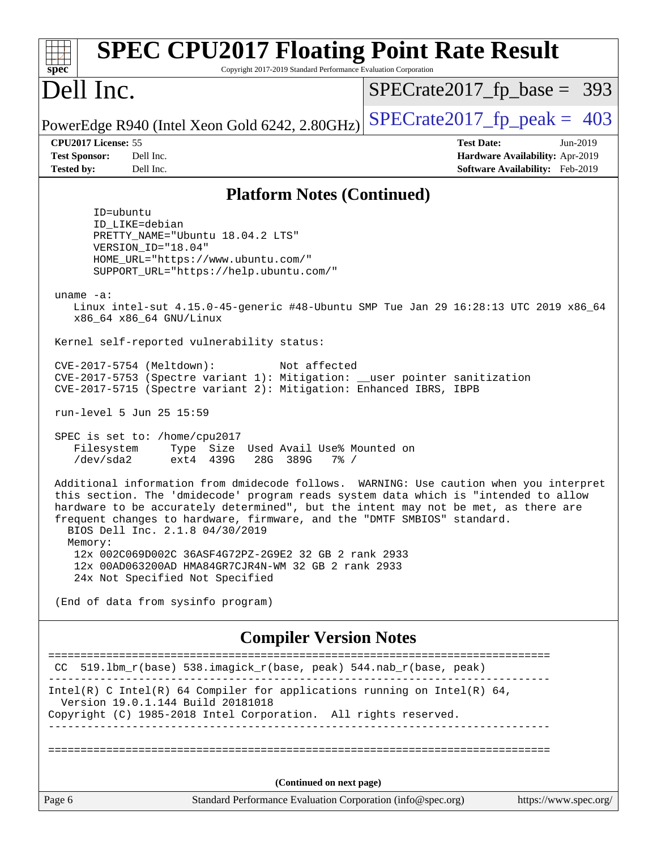| <b>SPEC CPU2017 Floating Point Rate Result</b><br>Copyright 2017-2019 Standard Performance Evaluation Corporation<br>spec <sup>®</sup>                                                                                                                                                                                                                                                                                                                                                                                                                                                                                                                                                                                                                                                                                                                                                                                                                                                                                                                                                                                                                                                                                                                                                                              |                                                                                                     |
|---------------------------------------------------------------------------------------------------------------------------------------------------------------------------------------------------------------------------------------------------------------------------------------------------------------------------------------------------------------------------------------------------------------------------------------------------------------------------------------------------------------------------------------------------------------------------------------------------------------------------------------------------------------------------------------------------------------------------------------------------------------------------------------------------------------------------------------------------------------------------------------------------------------------------------------------------------------------------------------------------------------------------------------------------------------------------------------------------------------------------------------------------------------------------------------------------------------------------------------------------------------------------------------------------------------------|-----------------------------------------------------------------------------------------------------|
| Dell Inc.                                                                                                                                                                                                                                                                                                                                                                                                                                                                                                                                                                                                                                                                                                                                                                                                                                                                                                                                                                                                                                                                                                                                                                                                                                                                                                           | $SPECrate2017_fp\_base = 393$                                                                       |
| PowerEdge R940 (Intel Xeon Gold 6242, 2.80GHz)                                                                                                                                                                                                                                                                                                                                                                                                                                                                                                                                                                                                                                                                                                                                                                                                                                                                                                                                                                                                                                                                                                                                                                                                                                                                      | $SPECrate2017_fp\_peak = 403$                                                                       |
| CPU2017 License: 55<br><b>Test Sponsor:</b><br>Dell Inc.<br><b>Tested by:</b><br>Dell Inc.                                                                                                                                                                                                                                                                                                                                                                                                                                                                                                                                                                                                                                                                                                                                                                                                                                                                                                                                                                                                                                                                                                                                                                                                                          | <b>Test Date:</b><br>Jun-2019<br>Hardware Availability: Apr-2019<br>Software Availability: Feb-2019 |
| <b>Platform Notes (Continued)</b>                                                                                                                                                                                                                                                                                                                                                                                                                                                                                                                                                                                                                                                                                                                                                                                                                                                                                                                                                                                                                                                                                                                                                                                                                                                                                   |                                                                                                     |
| ID=ubuntu<br>ID_LIKE=debian<br>PRETTY_NAME="Ubuntu 18.04.2 LTS"<br>VERSION_ID="18.04"<br>HOME_URL="https://www.ubuntu.com/"<br>SUPPORT_URL="https://help.ubuntu.com/"<br>$uname -a$ :<br>Linux intel-sut 4.15.0-45-generic #48-Ubuntu SMP Tue Jan 29 16:28:13 UTC 2019 x86_64<br>x86_64 x86_64 GNU/Linux<br>Kernel self-reported vulnerability status:<br>CVE-2017-5754 (Meltdown):<br>Not affected<br>CVE-2017-5753 (Spectre variant 1): Mitigation: __user pointer sanitization<br>CVE-2017-5715 (Spectre variant 2): Mitigation: Enhanced IBRS, IBPB<br>run-level 5 Jun 25 15:59<br>SPEC is set to: /home/cpu2017<br>Type Size Used Avail Use% Mounted on<br>Filesystem<br>/dev/sda2<br>ext4 439G<br>28G 389G<br>$7\%$ /<br>Additional information from dmidecode follows. WARNING: Use caution when you interpret<br>this section. The 'dmidecode' program reads system data which is "intended to allow<br>hardware to be accurately determined", but the intent may not be met, as there are<br>frequent changes to hardware, firmware, and the "DMTF SMBIOS" standard.<br>BIOS Dell Inc. 2.1.8 04/30/2019<br>Memory:<br>12x 002C069D002C 36ASF4G72PZ-2G9E2 32 GB 2 rank 2933<br>12x 00AD063200AD HMA84GR7CJR4N-WM 32 GB 2 rank 2933<br>24x Not Specified Not Specified<br>(End of data from sysinfo program) |                                                                                                     |
| <b>Compiler Version Notes</b>                                                                                                                                                                                                                                                                                                                                                                                                                                                                                                                                                                                                                                                                                                                                                                                                                                                                                                                                                                                                                                                                                                                                                                                                                                                                                       |                                                                                                     |
| CC 519.1bm_r(base) 538.imagick_r(base, peak) 544.nab_r(base, peak)                                                                                                                                                                                                                                                                                                                                                                                                                                                                                                                                                                                                                                                                                                                                                                                                                                                                                                                                                                                                                                                                                                                                                                                                                                                  |                                                                                                     |
| Intel(R) C Intel(R) 64 Compiler for applications running on Intel(R) 64,<br>Version 19.0.1.144 Build 20181018<br>Copyright (C) 1985-2018 Intel Corporation. All rights reserved.                                                                                                                                                                                                                                                                                                                                                                                                                                                                                                                                                                                                                                                                                                                                                                                                                                                                                                                                                                                                                                                                                                                                    |                                                                                                     |
|                                                                                                                                                                                                                                                                                                                                                                                                                                                                                                                                                                                                                                                                                                                                                                                                                                                                                                                                                                                                                                                                                                                                                                                                                                                                                                                     |                                                                                                     |
| (Continued on next page)                                                                                                                                                                                                                                                                                                                                                                                                                                                                                                                                                                                                                                                                                                                                                                                                                                                                                                                                                                                                                                                                                                                                                                                                                                                                                            |                                                                                                     |
| Standard Performance Evaluation Corporation (info@spec.org)<br>Page 6                                                                                                                                                                                                                                                                                                                                                                                                                                                                                                                                                                                                                                                                                                                                                                                                                                                                                                                                                                                                                                                                                                                                                                                                                                               | https://www.spec.org/                                                                               |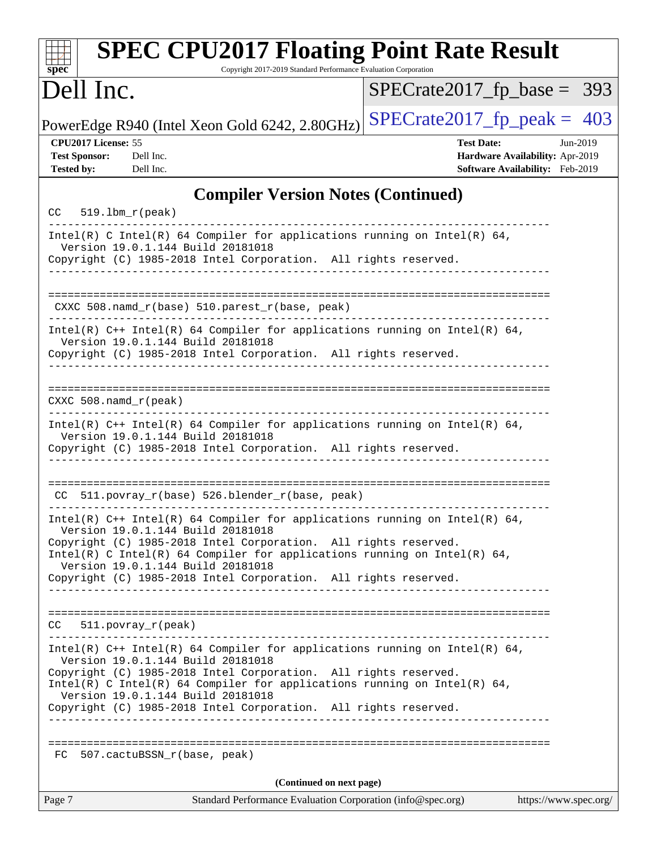| <b>SPEC CPU2017 Floating Point Rate Result</b><br>Copyright 2017-2019 Standard Performance Evaluation Corporation<br>$spec^*$                                                                                                                                                                                                                                            |                                                                                                     |
|--------------------------------------------------------------------------------------------------------------------------------------------------------------------------------------------------------------------------------------------------------------------------------------------------------------------------------------------------------------------------|-----------------------------------------------------------------------------------------------------|
| Dell Inc.                                                                                                                                                                                                                                                                                                                                                                | $SPECrate2017_fp\_base = 393$                                                                       |
| PowerEdge R940 (Intel Xeon Gold 6242, 2.80GHz)                                                                                                                                                                                                                                                                                                                           | $SPECrate2017_fp\_peak = 403$                                                                       |
| CPU2017 License: 55<br><b>Test Sponsor:</b><br>Dell Inc.<br><b>Tested by:</b><br>Dell Inc.                                                                                                                                                                                                                                                                               | <b>Test Date:</b><br>Jun-2019<br>Hardware Availability: Apr-2019<br>Software Availability: Feb-2019 |
| <b>Compiler Version Notes (Continued)</b>                                                                                                                                                                                                                                                                                                                                |                                                                                                     |
| $519.1bm_r(peak)$<br>CC.                                                                                                                                                                                                                                                                                                                                                 |                                                                                                     |
| Intel(R) C Intel(R) 64 Compiler for applications running on Intel(R) 64,<br>Version 19.0.1.144 Build 20181018<br>Copyright (C) 1985-2018 Intel Corporation. All rights reserved.                                                                                                                                                                                         |                                                                                                     |
| CXXC 508.namd_r(base) 510.parest_r(base, peak)                                                                                                                                                                                                                                                                                                                           |                                                                                                     |
| Intel(R) $C++$ Intel(R) 64 Compiler for applications running on Intel(R) 64,<br>Version 19.0.1.144 Build 20181018<br>Copyright (C) 1985-2018 Intel Corporation. All rights reserved.                                                                                                                                                                                     |                                                                                                     |
| $CXXC 508.namd_r (peak)$                                                                                                                                                                                                                                                                                                                                                 |                                                                                                     |
| Intel(R) $C++$ Intel(R) 64 Compiler for applications running on Intel(R) 64,<br>Version 19.0.1.144 Build 20181018<br>Copyright (C) 1985-2018 Intel Corporation. All rights reserved.                                                                                                                                                                                     |                                                                                                     |
| 511.povray_r(base) 526.blender_r(base, peak)<br>CC.                                                                                                                                                                                                                                                                                                                      |                                                                                                     |
| Intel(R) $C++$ Intel(R) 64 Compiler for applications running on Intel(R) 64,<br>Version 19.0.1.144 Build 20181018<br>Copyright (C) 1985-2018 Intel Corporation. All rights reserved.<br>Intel(R) C Intel(R) 64 Compiler for applications running on Intel(R) 64,<br>Version 19.0.1.144 Build 20181018<br>Copyright (C) 1985-2018 Intel Corporation. All rights reserved. |                                                                                                     |
| $CC = 511.povray_r (peak)$                                                                                                                                                                                                                                                                                                                                               |                                                                                                     |
| Intel(R) $C++$ Intel(R) 64 Compiler for applications running on Intel(R) 64,<br>Version 19.0.1.144 Build 20181018<br>Copyright (C) 1985-2018 Intel Corporation. All rights reserved.<br>Intel(R) C Intel(R) 64 Compiler for applications running on Intel(R) 64,<br>Version 19.0.1.144 Build 20181018<br>Copyright (C) 1985-2018 Intel Corporation. All rights reserved. |                                                                                                     |
| FC 507.cactuBSSN_r(base, peak)                                                                                                                                                                                                                                                                                                                                           |                                                                                                     |
| (Continued on next page)                                                                                                                                                                                                                                                                                                                                                 |                                                                                                     |

| яσе<br>. |  |
|----------|--|
|          |  |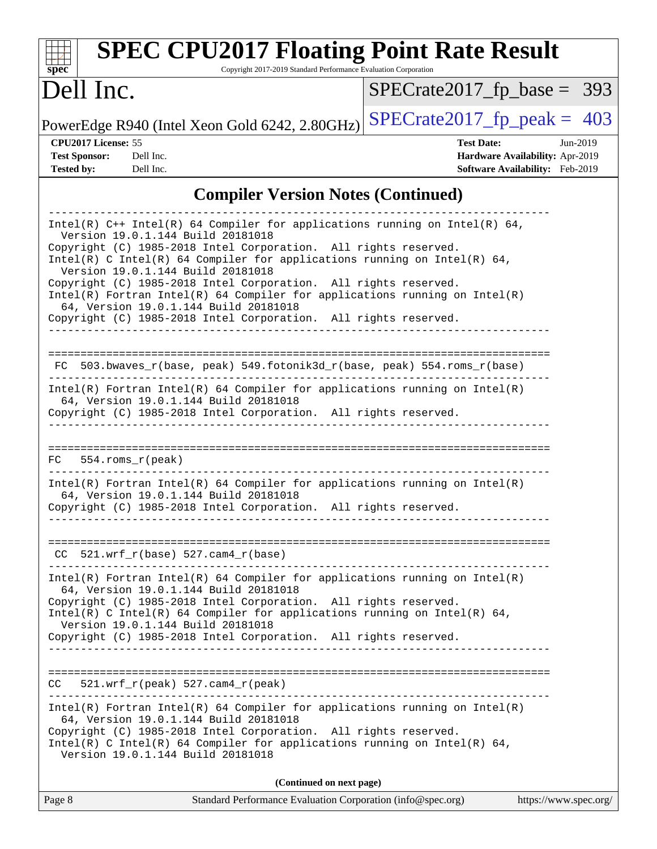| <b>SPEC CPU2017 Floating Point Rate Result</b><br>Copyright 2017-2019 Standard Performance Evaluation Corporation<br>$\mathbf{Spec}^*$                                                                                                                                                                                                                                                                                                                                                                                                                               |                                                                                                            |
|----------------------------------------------------------------------------------------------------------------------------------------------------------------------------------------------------------------------------------------------------------------------------------------------------------------------------------------------------------------------------------------------------------------------------------------------------------------------------------------------------------------------------------------------------------------------|------------------------------------------------------------------------------------------------------------|
| Dell Inc.                                                                                                                                                                                                                                                                                                                                                                                                                                                                                                                                                            | $SPECTate2017$ _fp_base = 393                                                                              |
| PowerEdge R940 (Intel Xeon Gold 6242, 2.80GHz)                                                                                                                                                                                                                                                                                                                                                                                                                                                                                                                       | $SPECrate2017_fp\_peak = 403$                                                                              |
| CPU2017 License: 55<br><b>Test Sponsor:</b><br>Dell Inc.<br><b>Tested by:</b><br>Dell Inc.                                                                                                                                                                                                                                                                                                                                                                                                                                                                           | <b>Test Date:</b><br>Jun-2019<br><b>Hardware Availability: Apr-2019</b><br>Software Availability: Feb-2019 |
| <b>Compiler Version Notes (Continued)</b>                                                                                                                                                                                                                                                                                                                                                                                                                                                                                                                            |                                                                                                            |
| Intel(R) $C++$ Intel(R) 64 Compiler for applications running on Intel(R) 64,<br>Version 19.0.1.144 Build 20181018<br>Copyright (C) 1985-2018 Intel Corporation. All rights reserved.<br>Intel(R) C Intel(R) 64 Compiler for applications running on Intel(R) 64,<br>Version 19.0.1.144 Build 20181018<br>Copyright (C) 1985-2018 Intel Corporation. All rights reserved.<br>$Intel(R)$ Fortran Intel(R) 64 Compiler for applications running on Intel(R)<br>64, Version 19.0.1.144 Build 20181018<br>Copyright (C) 1985-2018 Intel Corporation. All rights reserved. |                                                                                                            |
| 503.bwaves_r(base, peak) 549.fotonik3d_r(base, peak) 554.roms_r(base)<br>FC.<br>$Intel(R)$ Fortran Intel(R) 64 Compiler for applications running on Intel(R)<br>64, Version 19.0.1.144 Build 20181018<br>Copyright (C) 1985-2018 Intel Corporation. All rights reserved.                                                                                                                                                                                                                                                                                             |                                                                                                            |
| $554.rows$ r(peak)<br>FC.<br>Intel(R) Fortran Intel(R) 64 Compiler for applications running on $Intel(R)$<br>64, Version 19.0.1.144 Build 20181018<br>Copyright (C) 1985-2018 Intel Corporation. All rights reserved.                                                                                                                                                                                                                                                                                                                                                |                                                                                                            |
| $CC$ 521.wrf_r(base) 527.cam4_r(base)<br>$Intel(R)$ Fortran Intel(R) 64 Compiler for applications running on Intel(R)<br>64, Version 19.0.1.144 Build 20181018<br>Copyright (C) 1985-2018 Intel Corporation. All rights reserved.<br>Intel(R) C Intel(R) 64 Compiler for applications running on Intel(R) 64,<br>Version 19.0.1.144 Build 20181018<br>Copyright (C) 1985-2018 Intel Corporation. All rights reserved.                                                                                                                                                |                                                                                                            |
| $CC = 521.wrf_r(peak) 527.cam4_r(peak)$<br>Intel(R) Fortran Intel(R) 64 Compiler for applications running on Intel(R)<br>64, Version 19.0.1.144 Build 20181018<br>Copyright (C) 1985-2018 Intel Corporation. All rights reserved.<br>Intel(R) C Intel(R) 64 Compiler for applications running on Intel(R) 64,<br>Version 19.0.1.144 Build 20181018                                                                                                                                                                                                                   |                                                                                                            |
| (Continued on next page)                                                                                                                                                                                                                                                                                                                                                                                                                                                                                                                                             |                                                                                                            |

|  | Page 8 | Standard Performance Evaluation Corporation (info@spec.org) | https://www.spec.org/ |
|--|--------|-------------------------------------------------------------|-----------------------|
|--|--------|-------------------------------------------------------------|-----------------------|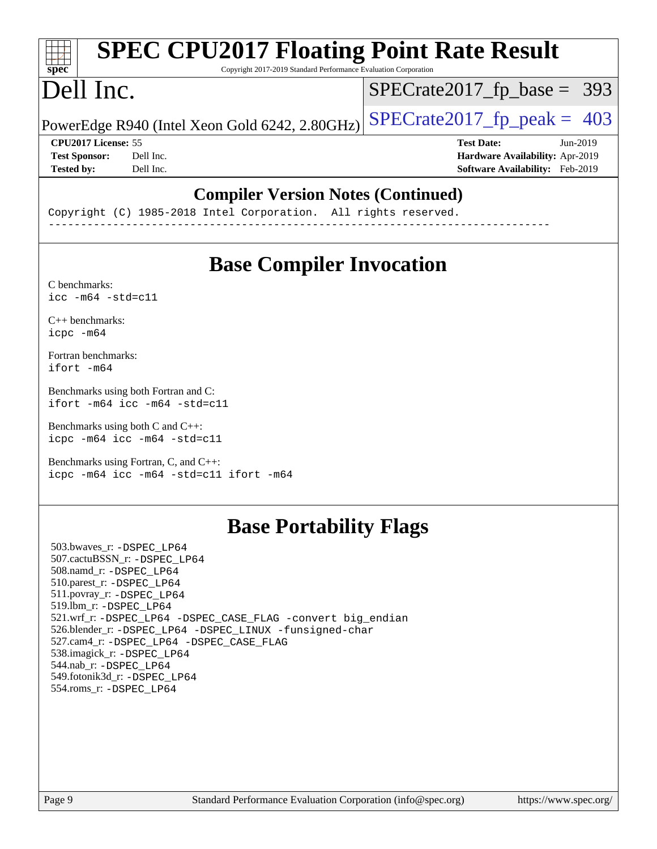#### **[SPEC CPU2017 Floating Point Rate Result](http://www.spec.org/auto/cpu2017/Docs/result-fields.html#SPECCPU2017FloatingPointRateResult)**  $\pm\pm\gamma$ **[spec](http://www.spec.org/)** Copyright 2017-2019 Standard Performance Evaluation Corporation Dell Inc. [SPECrate2017\\_fp\\_base =](http://www.spec.org/auto/cpu2017/Docs/result-fields.html#SPECrate2017fpbase) 393 PowerEdge R940 (Intel Xeon Gold 6242, 2.80GHz)  $\text{SPECrate}2017\_fp\_peak = 403$ **[CPU2017 License:](http://www.spec.org/auto/cpu2017/Docs/result-fields.html#CPU2017License)** 55 **[Test Date:](http://www.spec.org/auto/cpu2017/Docs/result-fields.html#TestDate)** Jun-2019 **[Test Sponsor:](http://www.spec.org/auto/cpu2017/Docs/result-fields.html#TestSponsor)** Dell Inc. **[Hardware Availability:](http://www.spec.org/auto/cpu2017/Docs/result-fields.html#HardwareAvailability)** Apr-2019 **[Tested by:](http://www.spec.org/auto/cpu2017/Docs/result-fields.html#Testedby)** Dell Inc. **[Software Availability:](http://www.spec.org/auto/cpu2017/Docs/result-fields.html#SoftwareAvailability)** Feb-2019

### **[Compiler Version Notes \(Continued\)](http://www.spec.org/auto/cpu2017/Docs/result-fields.html#CompilerVersionNotes)**

Copyright (C) 1985-2018 Intel Corporation. All rights reserved. ------------------------------------------------------------------------------

### **[Base Compiler Invocation](http://www.spec.org/auto/cpu2017/Docs/result-fields.html#BaseCompilerInvocation)**

[C benchmarks](http://www.spec.org/auto/cpu2017/Docs/result-fields.html#Cbenchmarks):  $\text{icc}$  -m64 -std=c11

[C++ benchmarks:](http://www.spec.org/auto/cpu2017/Docs/result-fields.html#CXXbenchmarks) [icpc -m64](http://www.spec.org/cpu2017/results/res2019q3/cpu2017-20190708-15937.flags.html#user_CXXbase_intel_icpc_64bit_4ecb2543ae3f1412ef961e0650ca070fec7b7afdcd6ed48761b84423119d1bf6bdf5cad15b44d48e7256388bc77273b966e5eb805aefd121eb22e9299b2ec9d9)

[Fortran benchmarks](http://www.spec.org/auto/cpu2017/Docs/result-fields.html#Fortranbenchmarks): [ifort -m64](http://www.spec.org/cpu2017/results/res2019q3/cpu2017-20190708-15937.flags.html#user_FCbase_intel_ifort_64bit_24f2bb282fbaeffd6157abe4f878425411749daecae9a33200eee2bee2fe76f3b89351d69a8130dd5949958ce389cf37ff59a95e7a40d588e8d3a57e0c3fd751)

[Benchmarks using both Fortran and C](http://www.spec.org/auto/cpu2017/Docs/result-fields.html#BenchmarksusingbothFortranandC): [ifort -m64](http://www.spec.org/cpu2017/results/res2019q3/cpu2017-20190708-15937.flags.html#user_CC_FCbase_intel_ifort_64bit_24f2bb282fbaeffd6157abe4f878425411749daecae9a33200eee2bee2fe76f3b89351d69a8130dd5949958ce389cf37ff59a95e7a40d588e8d3a57e0c3fd751) [icc -m64 -std=c11](http://www.spec.org/cpu2017/results/res2019q3/cpu2017-20190708-15937.flags.html#user_CC_FCbase_intel_icc_64bit_c11_33ee0cdaae7deeeab2a9725423ba97205ce30f63b9926c2519791662299b76a0318f32ddfffdc46587804de3178b4f9328c46fa7c2b0cd779d7a61945c91cd35)

[Benchmarks using both C and C++](http://www.spec.org/auto/cpu2017/Docs/result-fields.html#BenchmarksusingbothCandCXX): [icpc -m64](http://www.spec.org/cpu2017/results/res2019q3/cpu2017-20190708-15937.flags.html#user_CC_CXXbase_intel_icpc_64bit_4ecb2543ae3f1412ef961e0650ca070fec7b7afdcd6ed48761b84423119d1bf6bdf5cad15b44d48e7256388bc77273b966e5eb805aefd121eb22e9299b2ec9d9) [icc -m64 -std=c11](http://www.spec.org/cpu2017/results/res2019q3/cpu2017-20190708-15937.flags.html#user_CC_CXXbase_intel_icc_64bit_c11_33ee0cdaae7deeeab2a9725423ba97205ce30f63b9926c2519791662299b76a0318f32ddfffdc46587804de3178b4f9328c46fa7c2b0cd779d7a61945c91cd35)

[Benchmarks using Fortran, C, and C++:](http://www.spec.org/auto/cpu2017/Docs/result-fields.html#BenchmarksusingFortranCandCXX) [icpc -m64](http://www.spec.org/cpu2017/results/res2019q3/cpu2017-20190708-15937.flags.html#user_CC_CXX_FCbase_intel_icpc_64bit_4ecb2543ae3f1412ef961e0650ca070fec7b7afdcd6ed48761b84423119d1bf6bdf5cad15b44d48e7256388bc77273b966e5eb805aefd121eb22e9299b2ec9d9) [icc -m64 -std=c11](http://www.spec.org/cpu2017/results/res2019q3/cpu2017-20190708-15937.flags.html#user_CC_CXX_FCbase_intel_icc_64bit_c11_33ee0cdaae7deeeab2a9725423ba97205ce30f63b9926c2519791662299b76a0318f32ddfffdc46587804de3178b4f9328c46fa7c2b0cd779d7a61945c91cd35) [ifort -m64](http://www.spec.org/cpu2017/results/res2019q3/cpu2017-20190708-15937.flags.html#user_CC_CXX_FCbase_intel_ifort_64bit_24f2bb282fbaeffd6157abe4f878425411749daecae9a33200eee2bee2fe76f3b89351d69a8130dd5949958ce389cf37ff59a95e7a40d588e8d3a57e0c3fd751)

### **[Base Portability Flags](http://www.spec.org/auto/cpu2017/Docs/result-fields.html#BasePortabilityFlags)**

 503.bwaves\_r: [-DSPEC\\_LP64](http://www.spec.org/cpu2017/results/res2019q3/cpu2017-20190708-15937.flags.html#suite_basePORTABILITY503_bwaves_r_DSPEC_LP64) 507.cactuBSSN\_r: [-DSPEC\\_LP64](http://www.spec.org/cpu2017/results/res2019q3/cpu2017-20190708-15937.flags.html#suite_basePORTABILITY507_cactuBSSN_r_DSPEC_LP64) 508.namd\_r: [-DSPEC\\_LP64](http://www.spec.org/cpu2017/results/res2019q3/cpu2017-20190708-15937.flags.html#suite_basePORTABILITY508_namd_r_DSPEC_LP64) 510.parest\_r: [-DSPEC\\_LP64](http://www.spec.org/cpu2017/results/res2019q3/cpu2017-20190708-15937.flags.html#suite_basePORTABILITY510_parest_r_DSPEC_LP64) 511.povray\_r: [-DSPEC\\_LP64](http://www.spec.org/cpu2017/results/res2019q3/cpu2017-20190708-15937.flags.html#suite_basePORTABILITY511_povray_r_DSPEC_LP64) 519.lbm\_r: [-DSPEC\\_LP64](http://www.spec.org/cpu2017/results/res2019q3/cpu2017-20190708-15937.flags.html#suite_basePORTABILITY519_lbm_r_DSPEC_LP64) 521.wrf\_r: [-DSPEC\\_LP64](http://www.spec.org/cpu2017/results/res2019q3/cpu2017-20190708-15937.flags.html#suite_basePORTABILITY521_wrf_r_DSPEC_LP64) [-DSPEC\\_CASE\\_FLAG](http://www.spec.org/cpu2017/results/res2019q3/cpu2017-20190708-15937.flags.html#b521.wrf_r_baseCPORTABILITY_DSPEC_CASE_FLAG) [-convert big\\_endian](http://www.spec.org/cpu2017/results/res2019q3/cpu2017-20190708-15937.flags.html#user_baseFPORTABILITY521_wrf_r_convert_big_endian_c3194028bc08c63ac5d04de18c48ce6d347e4e562e8892b8bdbdc0214820426deb8554edfa529a3fb25a586e65a3d812c835984020483e7e73212c4d31a38223) 526.blender\_r: [-DSPEC\\_LP64](http://www.spec.org/cpu2017/results/res2019q3/cpu2017-20190708-15937.flags.html#suite_basePORTABILITY526_blender_r_DSPEC_LP64) [-DSPEC\\_LINUX](http://www.spec.org/cpu2017/results/res2019q3/cpu2017-20190708-15937.flags.html#b526.blender_r_baseCPORTABILITY_DSPEC_LINUX) [-funsigned-char](http://www.spec.org/cpu2017/results/res2019q3/cpu2017-20190708-15937.flags.html#user_baseCPORTABILITY526_blender_r_force_uchar_40c60f00ab013830e2dd6774aeded3ff59883ba5a1fc5fc14077f794d777847726e2a5858cbc7672e36e1b067e7e5c1d9a74f7176df07886a243d7cc18edfe67) 527.cam4\_r: [-DSPEC\\_LP64](http://www.spec.org/cpu2017/results/res2019q3/cpu2017-20190708-15937.flags.html#suite_basePORTABILITY527_cam4_r_DSPEC_LP64) [-DSPEC\\_CASE\\_FLAG](http://www.spec.org/cpu2017/results/res2019q3/cpu2017-20190708-15937.flags.html#b527.cam4_r_baseCPORTABILITY_DSPEC_CASE_FLAG) 538.imagick\_r: [-DSPEC\\_LP64](http://www.spec.org/cpu2017/results/res2019q3/cpu2017-20190708-15937.flags.html#suite_basePORTABILITY538_imagick_r_DSPEC_LP64) 544.nab\_r: [-DSPEC\\_LP64](http://www.spec.org/cpu2017/results/res2019q3/cpu2017-20190708-15937.flags.html#suite_basePORTABILITY544_nab_r_DSPEC_LP64) 549.fotonik3d\_r: [-DSPEC\\_LP64](http://www.spec.org/cpu2017/results/res2019q3/cpu2017-20190708-15937.flags.html#suite_basePORTABILITY549_fotonik3d_r_DSPEC_LP64) 554.roms\_r: [-DSPEC\\_LP64](http://www.spec.org/cpu2017/results/res2019q3/cpu2017-20190708-15937.flags.html#suite_basePORTABILITY554_roms_r_DSPEC_LP64)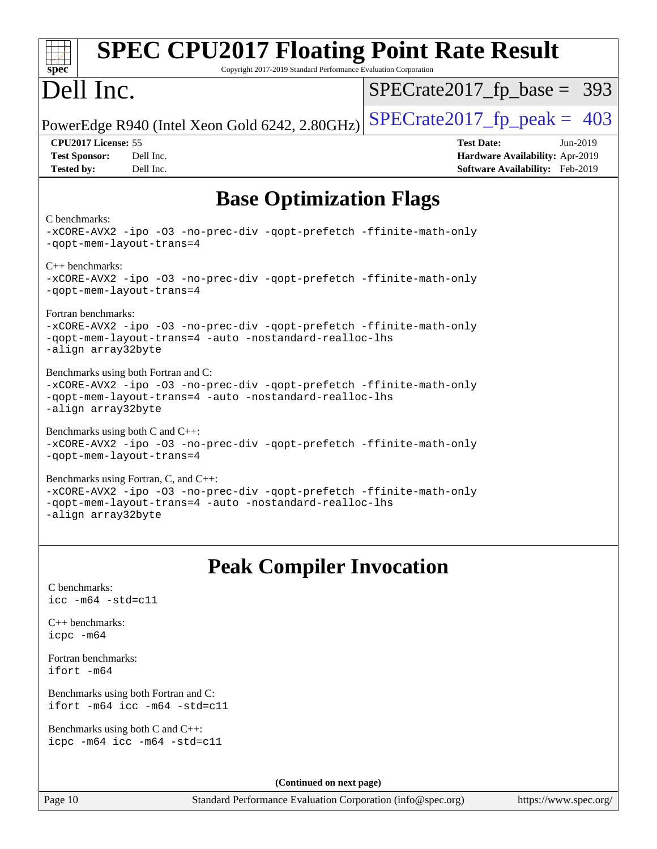| <b>SPEC CPU2017 Floating Point Rate Result</b><br>Copyright 2017-2019 Standard Performance Evaluation Corporation<br>$spec^*$                                                                |                                                                                                            |
|----------------------------------------------------------------------------------------------------------------------------------------------------------------------------------------------|------------------------------------------------------------------------------------------------------------|
| Dell Inc.                                                                                                                                                                                    | $SPECrate2017_fp\_base = 393$                                                                              |
| PowerEdge R940 (Intel Xeon Gold 6242, 2.80GHz)                                                                                                                                               | $SPECTate2017$ _fp_peak = 403                                                                              |
| CPU2017 License: 55<br><b>Test Sponsor:</b><br>Dell Inc.<br><b>Tested by:</b><br>Dell Inc.                                                                                                   | <b>Test Date:</b><br>Jun-2019<br><b>Hardware Availability: Apr-2019</b><br>Software Availability: Feb-2019 |
| <b>Base Optimization Flags</b>                                                                                                                                                               |                                                                                                            |
| C benchmarks:<br>-xCORE-AVX2 -ipo -03 -no-prec-div -qopt-prefetch -ffinite-math-only<br>-qopt-mem-layout-trans=4                                                                             |                                                                                                            |
| $C++$ benchmarks:<br>-xCORE-AVX2 -ipo -03 -no-prec-div -qopt-prefetch -ffinite-math-only<br>-qopt-mem-layout-trans=4                                                                         |                                                                                                            |
| Fortran benchmarks:<br>-xCORE-AVX2 -ipo -03 -no-prec-div -qopt-prefetch -ffinite-math-only<br>-qopt-mem-layout-trans=4 -auto -nostandard-realloc-lhs<br>-align array32byte                   |                                                                                                            |
| Benchmarks using both Fortran and C:<br>-xCORE-AVX2 -ipo -03 -no-prec-div -qopt-prefetch -ffinite-math-only<br>-qopt-mem-layout-trans=4 -auto -nostandard-realloc-lhs<br>-align array32byte  |                                                                                                            |
| Benchmarks using both $C$ and $C++$ :<br>-xCORE-AVX2 -ipo -03 -no-prec-div -qopt-prefetch -ffinite-math-only<br>-gopt-mem-layout-trans=4                                                     |                                                                                                            |
| Benchmarks using Fortran, C, and C++:<br>-xCORE-AVX2 -ipo -03 -no-prec-div -qopt-prefetch -ffinite-math-only<br>-qopt-mem-layout-trans=4 -auto -nostandard-realloc-lhs<br>-align array32byte |                                                                                                            |
| <b>Peak Compiler Invocation</b>                                                                                                                                                              |                                                                                                            |
| C benchmarks:<br>$\text{icc -m64 -std=c11}$                                                                                                                                                  |                                                                                                            |
| $C_{++}$ benchmarks:<br>icpc -m64                                                                                                                                                            |                                                                                                            |
| Fortran benchmarks:<br>ifort -m64                                                                                                                                                            |                                                                                                            |
| Benchmarks using both Fortran and C:<br>ifort -m64 icc -m64 -std=c11                                                                                                                         |                                                                                                            |
| Benchmarks using both C and C++:<br>icpc -m64 icc -m64 -std=c11                                                                                                                              |                                                                                                            |
| (Continued on next page)                                                                                                                                                                     |                                                                                                            |

Page 10 Standard Performance Evaluation Corporation [\(info@spec.org\)](mailto:info@spec.org) <https://www.spec.org/>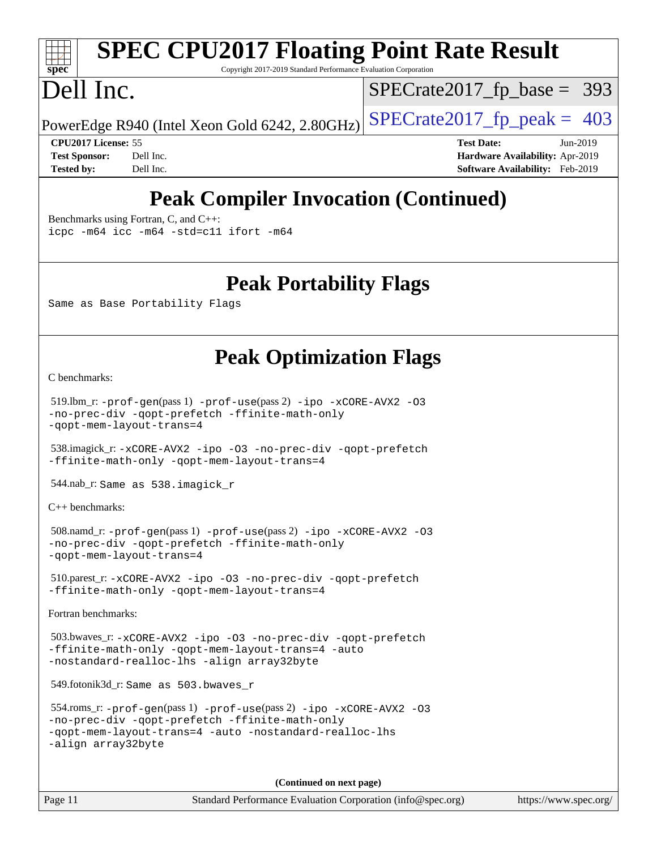# **[spec](http://www.spec.org/)**

# **[SPEC CPU2017 Floating Point Rate Result](http://www.spec.org/auto/cpu2017/Docs/result-fields.html#SPECCPU2017FloatingPointRateResult)**

Copyright 2017-2019 Standard Performance Evaluation Corporation

# Dell Inc.

[SPECrate2017\\_fp\\_base =](http://www.spec.org/auto/cpu2017/Docs/result-fields.html#SPECrate2017fpbase) 393

PowerEdge R940 (Intel Xeon Gold 6242, 2.80GHz)  $\text{SPECrate}2017\_fp\_peak = 403$ 

**[CPU2017 License:](http://www.spec.org/auto/cpu2017/Docs/result-fields.html#CPU2017License)** 55 **[Test Date:](http://www.spec.org/auto/cpu2017/Docs/result-fields.html#TestDate)** Jun-2019 **[Test Sponsor:](http://www.spec.org/auto/cpu2017/Docs/result-fields.html#TestSponsor)** Dell Inc. **[Hardware Availability:](http://www.spec.org/auto/cpu2017/Docs/result-fields.html#HardwareAvailability)** Apr-2019 **[Tested by:](http://www.spec.org/auto/cpu2017/Docs/result-fields.html#Testedby)** Dell Inc. **[Software Availability:](http://www.spec.org/auto/cpu2017/Docs/result-fields.html#SoftwareAvailability)** Feb-2019

## **[Peak Compiler Invocation \(Continued\)](http://www.spec.org/auto/cpu2017/Docs/result-fields.html#PeakCompilerInvocation)**

[Benchmarks using Fortran, C, and C++:](http://www.spec.org/auto/cpu2017/Docs/result-fields.html#BenchmarksusingFortranCandCXX)

[icpc -m64](http://www.spec.org/cpu2017/results/res2019q3/cpu2017-20190708-15937.flags.html#user_CC_CXX_FCpeak_intel_icpc_64bit_4ecb2543ae3f1412ef961e0650ca070fec7b7afdcd6ed48761b84423119d1bf6bdf5cad15b44d48e7256388bc77273b966e5eb805aefd121eb22e9299b2ec9d9) [icc -m64 -std=c11](http://www.spec.org/cpu2017/results/res2019q3/cpu2017-20190708-15937.flags.html#user_CC_CXX_FCpeak_intel_icc_64bit_c11_33ee0cdaae7deeeab2a9725423ba97205ce30f63b9926c2519791662299b76a0318f32ddfffdc46587804de3178b4f9328c46fa7c2b0cd779d7a61945c91cd35) [ifort -m64](http://www.spec.org/cpu2017/results/res2019q3/cpu2017-20190708-15937.flags.html#user_CC_CXX_FCpeak_intel_ifort_64bit_24f2bb282fbaeffd6157abe4f878425411749daecae9a33200eee2bee2fe76f3b89351d69a8130dd5949958ce389cf37ff59a95e7a40d588e8d3a57e0c3fd751)

### **[Peak Portability Flags](http://www.spec.org/auto/cpu2017/Docs/result-fields.html#PeakPortabilityFlags)**

Same as Base Portability Flags

### **[Peak Optimization Flags](http://www.spec.org/auto/cpu2017/Docs/result-fields.html#PeakOptimizationFlags)**

[C benchmarks](http://www.spec.org/auto/cpu2017/Docs/result-fields.html#Cbenchmarks):

```
 519.lbm_r: -prof-gen(pass 1) -prof-use(pass 2) -ipo -xCORE-AVX2 -O3
-no-prec-div -qopt-prefetch -ffinite-math-only
-qopt-mem-layout-trans=4
```
 538.imagick\_r: [-xCORE-AVX2](http://www.spec.org/cpu2017/results/res2019q3/cpu2017-20190708-15937.flags.html#user_peakCOPTIMIZE538_imagick_r_f-xCORE-AVX2) [-ipo](http://www.spec.org/cpu2017/results/res2019q3/cpu2017-20190708-15937.flags.html#user_peakCOPTIMIZE538_imagick_r_f-ipo) [-O3](http://www.spec.org/cpu2017/results/res2019q3/cpu2017-20190708-15937.flags.html#user_peakCOPTIMIZE538_imagick_r_f-O3) [-no-prec-div](http://www.spec.org/cpu2017/results/res2019q3/cpu2017-20190708-15937.flags.html#user_peakCOPTIMIZE538_imagick_r_f-no-prec-div) [-qopt-prefetch](http://www.spec.org/cpu2017/results/res2019q3/cpu2017-20190708-15937.flags.html#user_peakCOPTIMIZE538_imagick_r_f-qopt-prefetch) [-ffinite-math-only](http://www.spec.org/cpu2017/results/res2019q3/cpu2017-20190708-15937.flags.html#user_peakCOPTIMIZE538_imagick_r_f_finite_math_only_cb91587bd2077682c4b38af759c288ed7c732db004271a9512da14a4f8007909a5f1427ecbf1a0fb78ff2a814402c6114ac565ca162485bbcae155b5e4258871) [-qopt-mem-layout-trans=4](http://www.spec.org/cpu2017/results/res2019q3/cpu2017-20190708-15937.flags.html#user_peakCOPTIMIZE538_imagick_r_f-qopt-mem-layout-trans_fa39e755916c150a61361b7846f310bcdf6f04e385ef281cadf3647acec3f0ae266d1a1d22d972a7087a248fd4e6ca390a3634700869573d231a252c784941a8)

544.nab\_r: Same as 538.imagick\_r

[C++ benchmarks:](http://www.spec.org/auto/cpu2017/Docs/result-fields.html#CXXbenchmarks)

```
 508.namd_r: -prof-gen(pass 1) -prof-use(pass 2) -ipo -xCORE-AVX2 -O3
-no-prec-div -qopt-prefetch -ffinite-math-only
-qopt-mem-layout-trans=4
```
 510.parest\_r: [-xCORE-AVX2](http://www.spec.org/cpu2017/results/res2019q3/cpu2017-20190708-15937.flags.html#user_peakCXXOPTIMIZE510_parest_r_f-xCORE-AVX2) [-ipo](http://www.spec.org/cpu2017/results/res2019q3/cpu2017-20190708-15937.flags.html#user_peakCXXOPTIMIZE510_parest_r_f-ipo) [-O3](http://www.spec.org/cpu2017/results/res2019q3/cpu2017-20190708-15937.flags.html#user_peakCXXOPTIMIZE510_parest_r_f-O3) [-no-prec-div](http://www.spec.org/cpu2017/results/res2019q3/cpu2017-20190708-15937.flags.html#user_peakCXXOPTIMIZE510_parest_r_f-no-prec-div) [-qopt-prefetch](http://www.spec.org/cpu2017/results/res2019q3/cpu2017-20190708-15937.flags.html#user_peakCXXOPTIMIZE510_parest_r_f-qopt-prefetch) [-ffinite-math-only](http://www.spec.org/cpu2017/results/res2019q3/cpu2017-20190708-15937.flags.html#user_peakCXXOPTIMIZE510_parest_r_f_finite_math_only_cb91587bd2077682c4b38af759c288ed7c732db004271a9512da14a4f8007909a5f1427ecbf1a0fb78ff2a814402c6114ac565ca162485bbcae155b5e4258871) [-qopt-mem-layout-trans=4](http://www.spec.org/cpu2017/results/res2019q3/cpu2017-20190708-15937.flags.html#user_peakCXXOPTIMIZE510_parest_r_f-qopt-mem-layout-trans_fa39e755916c150a61361b7846f310bcdf6f04e385ef281cadf3647acec3f0ae266d1a1d22d972a7087a248fd4e6ca390a3634700869573d231a252c784941a8)

[Fortran benchmarks](http://www.spec.org/auto/cpu2017/Docs/result-fields.html#Fortranbenchmarks):

```
 503.bwaves_r: -xCORE-AVX2 -ipo -O3 -no-prec-div -qopt-prefetch
-ffinite-math-only -qopt-mem-layout-trans=4 -auto
-nostandard-realloc-lhs -align array32byte
```
549.fotonik3d\_r: Same as 503.bwaves\_r

```
 554.roms_r: -prof-gen(pass 1) -prof-use(pass 2) -ipo -xCORE-AVX2 -O3
-no-prec-div -qopt-prefetch -ffinite-math-only
-qopt-mem-layout-trans=4 -auto -nostandard-realloc-lhs
-align array32byte
```
**(Continued on next page)**